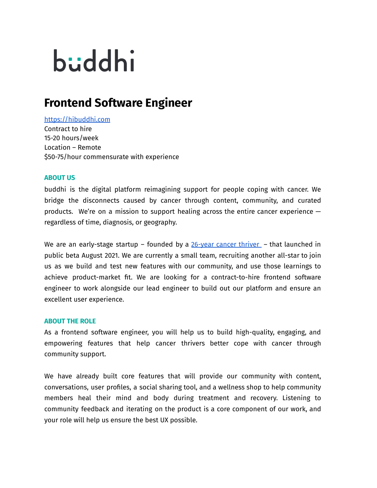# büddhi

## **Frontend Software Engineer**

### <https://hibuddhi.com>

Contract to hire 15-20 hours/week Location – Remote \$50-75/hour commensurate with experience

#### **ABOUT US**

buddhi is the digital platform reimagining support for people coping with cancer. We bridge the disconnects caused by cancer through content, community, and curated products. We're on a mission to support healing across the entire cancer experience  $$ regardless of time, diagnosis, or geography.

We are an early-stage startup – founded by a  $26$ -year cancer thriver – that launched in public beta August 2021. We are currently a small team, recruiting another all-star to join us as we build and test new features with our community, and use those learnings to achieve product-market fit. We are looking for a contract-to-hire frontend software engineer to work alongside our lead engineer to build out our platform and ensure an excellent user experience.

#### **ABOUT THE ROLE**

As a frontend software engineer, you will help us to build high-quality, engaging, and empowering features that help cancer thrivers better cope with cancer through community support.

We have already built core features that will provide our community with content, conversations, user profiles, a social sharing tool, and a wellness shop to help community members heal their mind and body during treatment and recovery. Listening to community feedback and iterating on the product is a core component of our work, and your role will help us ensure the best UX possible.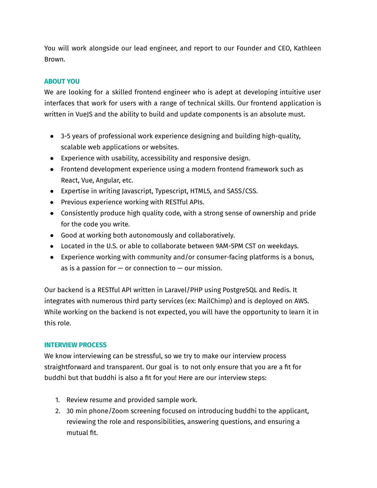You will work alongside our lead engineer, and report to our Founder and CEO, Kathleen Brown.

#### **ABOUT YOU**

We are looking for a skilled frontend engineer who is adept at developing intuitive user interfaces that work for users with a range of technical skills. Our frontend application is written in VueJS and the ability to build and update components is an absolute must.

- 3-5 years of professional work experience designing and building high-quality, scalable web applications or websites.
- Experience with usability, accessibility and responsive design.
- Frontend development experience using a modern frontend framework such as React, Vue, Angular, etc.
- Expertise in writing Javascript, Typescript, HTML5, and SASS/CSS.
- Previous experience working with RESTful APIs.
- Consistently produce high quality code, with a strong sense of ownership and pride for the code you write.
- Good at working both autonomously and collaboratively.
- Located in the U.S. or able to collaborate between 9AM-5PM CST on weekdays.
- Experience working with community and/or consumer-facing platforms is a bonus, as is a passion for  $-$  or connection to  $-$  our mission.

Our backend is a RESTful API written in Laravel/PHP using PostgreSQL and Redis. It integrates with numerous third party services (ex: MailChimp) and is deployed on AWS. While working on the backend is not expected, you will have the opportunity to learn it in this role.

#### **INTERVIEW PROCESS**

We know interviewing can be stressful, so we try to make our interview process straightforward and transparent. Our goal is to not only ensure that you are a fit for buddhi but that buddhi is also a fit for you! Here are our interview steps:

- 1. Review resume and provided sample work.
- 2. 30 min phone/Zoom screening focused on introducing buddhi to the applicant, reviewing the role and responsibilities, answering questions, and ensuring a mutual fit.